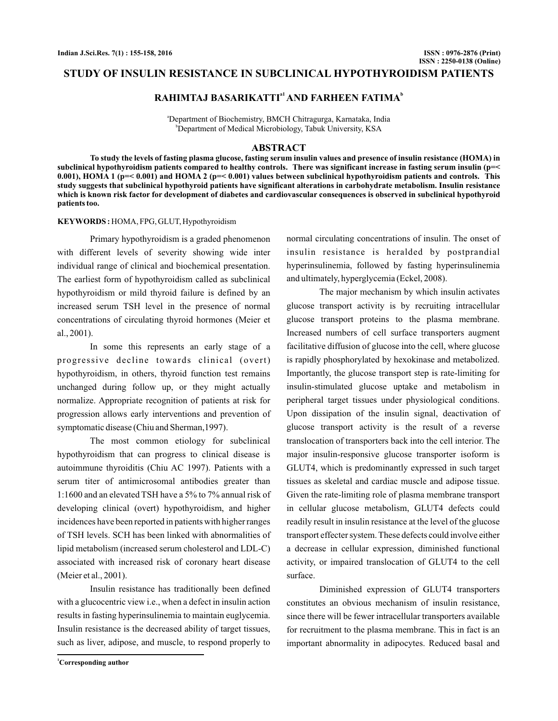## **STUDY OF INSULIN RESISTANCE IN SUBCLINICAL HYPOTHYROIDISM PATIENTS**

# **RAHIMTAJ BASARIKATTI<sup>a1</sup> AND FARHEEN FATIMA<sup>b</sup>**

a Department of Biochemistry, BMCH Chitragurga, Karnataka, India b Department of Medical Microbiology, Tabuk University, KSA

#### **ABSTRACT**

**To study the levels of fasting plasma glucose, fasting serum insulin values and presence of insulin resistance (HOMA) in subclinical hypothyroidism patients compared to healthy controls. There was significant increase in fasting serum insulin (p=< 0.001), HOMA 1 (p=< 0.001) and HOMA 2 (p=< 0.001) values between subclinical hypothyroidism patients and controls. This study suggests that subclinical hypothyroid patients have significant alterations in carbohydrate metabolism. Insulin resistance which is known risk factor for development of diabetes and cardiovascular consequences is observed in subclinical hypothyroid patients too.**

#### **KEYWORDS :** HOMA, FPG, GLUT, Hypothyroidism

Primary hypothyroidism is a graded phenomenon with different levels of severity showing wide inter individual range of clinical and biochemical presentation. The earliest form of hypothyroidism called as subclinical hypothyroidism or mild thyroid failure is defined by an increased serum TSH level in the presence of normal concentrations of circulating thyroid hormones (Meier et al., 2001).

In some this represents an early stage of a progressive decline towards clinical (overt) hypothyroidism, in others, thyroid function test remains unchanged during follow up, or they might actually normalize. Appropriate recognition of patients at risk for progression allows early interventions and prevention of symptomatic disease (Chiu and Sherman,1997).

The most common etiology for subclinical hypothyroidism that can progress to clinical disease is autoimmune thyroiditis (Chiu AC 1997). Patients with a serum titer of antimicrosomal antibodies greater than 1:1600 and an elevated TSH have a 5% to 7% annual risk of developing clinical (overt) hypothyroidism, and higher incidences have been reported in patients with higher ranges of TSH levels. SCH has been linked with abnormalities of lipid metabolism (increased serum cholesterol and LDL-C) associated with increased risk of coronary heart disease (Meier et al., 2001).

Insulin resistance has traditionally been defined with a glucocentric view i.e., when a defect in insulin action results in fasting hyperinsulinemia to maintain euglycemia. Insulin resistance is the decreased ability of target tissues, such as liver, adipose, and muscle, to respond properly to

normal circulating concentrations of insulin. The onset of insulin resistance is heralded by postprandial hyperinsulinemia, followed by fasting hyperinsulinemia and ultimately, hyperglycemia (Eckel, 2008).

The major mechanism by which insulin activates glucose transport activity is by recruiting intracellular glucose transport proteins to the plasma membrane. Increased numbers of cell surface transporters augment facilitative diffusion of glucose into the cell, where glucose is rapidly phosphorylated by hexokinase and metabolized. Importantly, the glucose transport step is rate-limiting for insulin-stimulated glucose uptake and metabolism in peripheral target tissues under physiological conditions. Upon dissipation of the insulin signal, deactivation of glucose transport activity is the result of a reverse translocation of transporters back into the cell interior. The major insulin-responsive glucose transporter isoform is GLUT4, which is predominantly expressed in such target tissues as skeletal and cardiac muscle and adipose tissue. Given the rate-limiting role of plasma membrane transport in cellular glucose metabolism, GLUT4 defects could readily result in insulin resistance at the level of the glucose transport effecter system. These defects could involve either a decrease in cellular expression, diminished functional activity, or impaired translocation of GLUT4 to the cell surface.

Diminished expression of GLUT4 transporters constitutes an obvious mechanism of insulin resistance, since there will be fewer intracellular transporters available for recruitment to the plasma membrane. This in fact is an important abnormality in adipocytes. Reduced basal and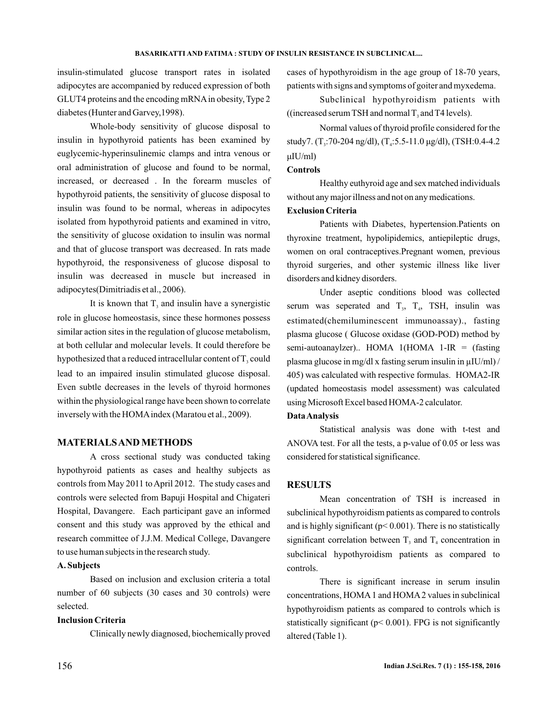insulin-stimulated glucose transport rates in isolated adipocytes are accompanied by reduced expression of both GLUT4 proteins and the encoding mRNAin obesity, Type 2 diabetes (Hunter and Garvey,1998).

Whole-body sensitivity of glucose disposal to insulin in hypothyroid patients has been examined by euglycemic-hyperinsulinemic clamps and intra venous or oral administration of glucose and found to be normal, increased, or decreased . In the forearm muscles of hypothyroid patients, the sensitivity of glucose disposal to insulin was found to be normal, whereas in adipocytes isolated from hypothyroid patients and examined in vitro, the sensitivity of glucose oxidation to insulin was normal and that of glucose transport was decreased. In rats made hypothyroid, the responsiveness of glucose disposal to insulin was decreased in muscle but increased in adipocytes(Dimitriadis et al., 2006).

It is known that  $T_3$  and insulin have a synergistic role in glucose homeostasis, since these hormones possess similar action sites in the regulation of glucose metabolism, at both cellular and molecular levels. It could therefore be hypothesized that a reduced intracellular content of  $T_3$  could lead to an impaired insulin stimulated glucose disposal. Even subtle decreases in the levels of thyroid hormones within the physiological range have been shown to correlate inversely with the HOMAindex (Maratou et al., 2009).

# **MATERIALSAND METHODS**

A cross sectional study was conducted taking hypothyroid patients as cases and healthy subjects as controls from May 2011 to April 2012. The study cases and controls were selected from Bapuji Hospital and Chigateri Hospital, Davangere. Each participant gave an informed consent and this study was approved by the ethical and research committee of J.J.M. Medical College, Davangere to use human subjects in the research study.

## **A. Subjects**

Based on inclusion and exclusion criteria a total number of 60 subjects (30 cases and 30 controls) were selected.

# **Inclusion Criteria**

Clinically newly diagnosed, biochemically proved

cases of hypothyroidism in the age group of 18-70 years, patients with signs and symptoms of goiter and myxedema.

Subclinical hypothyroidism patients with ((increased serum TSH and normal  $T_3$  and T4 levels).

Normal values of thyroid profile considered for the study7. (T<sub>3</sub>:70-204 ng/dl), (T<sub>4</sub>:5.5-11.0 μg/dl), (TSH:0.4-4.2 μIU/ml)

## **Controls**

Healthy euthyroid age and sex matched individuals without any major illness and not on any medications.

## **Exclusion Criteria**

Patients with Diabetes, hypertension.Patients on thyroxine treatment, hypolipidemics, antiepileptic drugs, women on oral contraceptives.Pregnant women, previous thyroid surgeries, and other systemic illness like liver disorders and kidney disorders.

Under aseptic conditions blood was collected serum was seperated and  $T_3$ ,  $T_4$ , TSH, insulin was estimated(chemiluminescent immunoassay)., fasting plasma glucose ( Glucose oxidase (GOD-POD) method by semi-autoanaylzer).. HOMA 1(HOMA 1-IR = (fasting plasma glucose in mg/dl x fasting serum insulin in µIU/ml) / 405) was calculated with respective formulas. HOMA2-IR (updated homeostasis model assessment) was calculated using Microsoft Excel based HOMA-2 calculator.

### **DataAnalysis**

Statistical analysis was done with t-test and ANOVA test. For all the tests, a p-value of 0.05 or less was considered for statistical significance.

### **RESULTS**

Mean concentration of TSH is increased in subclinical hypothyroidism patients as compared to controls and is highly significant ( $p$ < 0.001). There is no statistically significant correlation between  $T_3$  and  $T_4$  concentration in subclinical hypothyroidism patients as compared to controls.

There is significant increase in serum insulin concentrations, HOMA 1 and HOMA 2 values in subclinical hypothyroidism patients as compared to controls which is statistically significant ( $p$ < 0.001). FPG is not significantly altered (Table 1).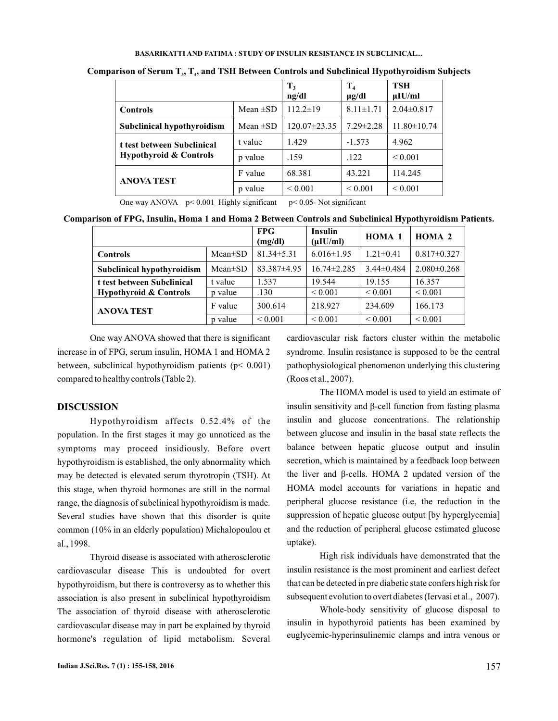#### **BASARIKATTI AND FATIMA : STUDY OF INSULIN RESISTANCE IN SUBCLINICAL...**

|                                                                 | $T_3$<br>$\mathbf{ng}/\mathbf{dl}$ | $T_{4}$<br>$\mu$ g/dl | <b>TSH</b><br>$\mu$ IU/ml |                   |
|-----------------------------------------------------------------|------------------------------------|-----------------------|---------------------------|-------------------|
| <b>Controls</b>                                                 | Mean $\pm SD$                      | $112.2 \pm 19$        | $8.11 \pm 1.71$           | $2.04 \pm 0.817$  |
| Subclinical hypothyroidism                                      | Mean $\pm$ SD                      | $120.07 \pm 23.35$    | $7.29 \pm 2.28$           | $11.80 \pm 10.74$ |
| t test between Subclinical<br><b>Hypothyroid &amp; Controls</b> | t value                            | 1.429                 | $-1.573$                  | 4.962             |
|                                                                 | p value                            | .159                  | .122                      | ${}_{0.001}$      |
| <b>ANOVA TEST</b>                                               | F value                            | 68.381                | 43.221                    | 114.245           |
|                                                                 | p value                            | ${}_{0.001}$          | ${}_{\leq 0.001}$         | ${}_{0.001}$      |

Comparison of Serum T<sub>1</sub>, T<sub>4</sub>, and TSH Between Controls and Subclinical Hypothyroidism Subjects

One way ANOVA  $p \le 0.001$  Highly significant  $p \le 0.05$ - Not significant

**Comparison of FPG, Insulin, Homa 1 and Homa 2 Between Controls and Subclinical Hypothyroidism Patients.**

|                                   |               | <b>FPG</b><br>(mg/dl) | Insulin<br>$(\mu I U/ml)$ | <b>HOMA 1</b>   | HOMA <sub>2</sub> |
|-----------------------------------|---------------|-----------------------|---------------------------|-----------------|-------------------|
| <b>Controls</b>                   | $Mean \pm SD$ | $81.34 \pm 5.31$      | $6.016 \pm 1.95$          | $1.21 \pm 0.41$ | $0.817 \pm 0.327$ |
| Subclinical hypothyroidism        | $Mean \pm SD$ | 83.387±4.95           | $16.74 \pm 2.285$         | $3.44\pm0.484$  | $2.080 \pm 0.268$ |
| t test between Subclinical        | t value       | 1.537                 | 19.544                    | 19.155          | 16.357            |
| <b>Hypothyroid &amp; Controls</b> | p value       | .130                  | ${}_{0.001}$              | ${}_{0.001}$    | ${}_{0.001}$      |
| <b>ANOVA TEST</b>                 | F value       | 300.614               | 218.927                   | 234.609         | 166.173           |
|                                   | p value       | ${}_{0.001}$          | ${}_{0.001}$              | ${}_{0.001}$    | ${}_{0.001}$      |

One way ANOVA showed that there is significant increase in of FPG, serum insulin, HOMA 1 and HOMA 2 between, subclinical hypothyroidism patients (p< 0.001) compared to healthy controls (Table 2).

## **DISCUSSION**

Hypothyroidism affects 0.52.4% of the population. In the first stages it may go unnoticed as the symptoms may proceed insidiously. Before overt hypothyroidism is established, the only abnormality which may be detected is elevated serum thyrotropin (TSH). At this stage, when thyroid hormones are still in the normal range, the diagnosis of subclinical hypothyroidism is made. Several studies have shown that this disorder is quite common (10% in an elderly population) Michalopoulou et al., 1998.

Thyroid disease is associated with atherosclerotic cardiovascular disease This is undoubted for overt hypothyroidism, but there is controversy as to whether this association is also present in subclinical hypothyroidism The association of thyroid disease with atherosclerotic cardiovascular disease may in part be explained by thyroid hormone's regulation of lipid metabolism. Several

cardiovascular risk factors cluster within the metabolic syndrome. Insulin resistance is supposed to be the central pathophysiological phenomenon underlying this clustering (Roos et al., 2007).

peripheral glucose resistance (i.e, the reduction in the suppression of hepatic glucose output [by hyperglycemia] and the reduction of peripheral glucose estimated glucose uptake). The HOMA model is used to yield an estimate of insulin sensitivity and β-cell function from fasting plasma insulin and glucose concentrations. The relationship between glucose and insulin in the basal state reflects the balance between hepatic glucose output and insulin secretion, which is maintained by a feedback loop between the liver and β-cells. HOMA 2 updated version of the HOMA model accounts for variations in hepatic and

High risk individuals have demonstrated that the insulin resistance is the most prominent and earliest defect that can be detected in pre diabetic state confers high risk for subsequent evolution to overt diabetes (Iervasi et al., 2007).

Whole-body sensitivity of glucose disposal to insulin in hypothyroid patients has been examined by euglycemic-hyperinsulinemic clamps and intra venous or